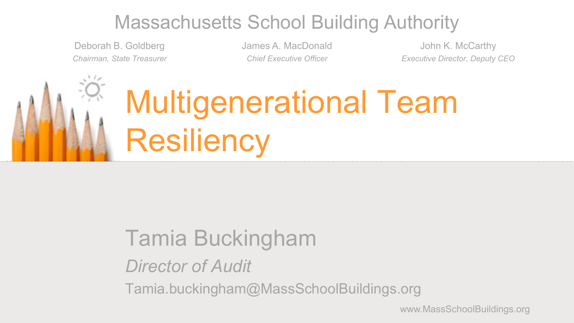#### Massachusetts School Building Authority

Deborah B. Goldberg *Chairman, State Treasurer* James A. MacDonald *Chief Executive Officer*

John K. McCarthy *Executive Director, Deputy CEO*

# Multigenerational Team **Resiliency**

#### Tamia Buckingham

*Director of Audit*

Tamia.buckingham@MassSchoolBuildings.org

www.MassSchoolBuildings.org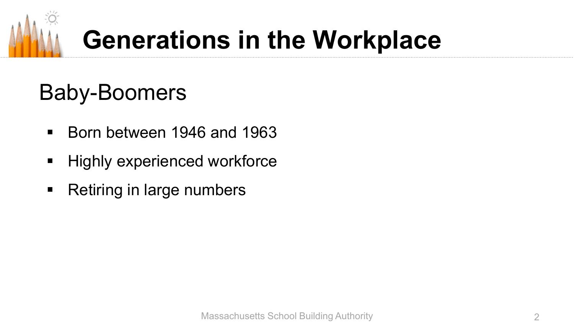

# **Generations in the Workplace**

# Baby-Boomers

- Born between 1946 and 1963
- **Highly experienced workforce**
- Retiring in large numbers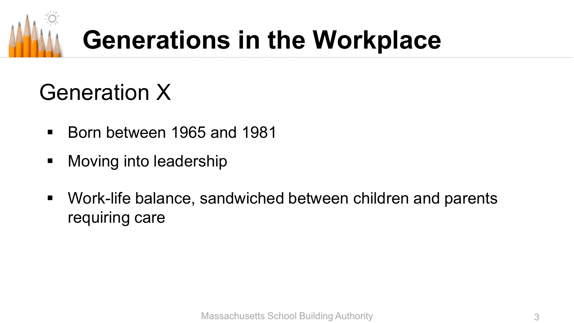

# **Generations in the Workplace**

### Generation X

- Born between 1965 and 1981
- **Noving into leadership**
- Work-life balance, sandwiched between children and parents requiring care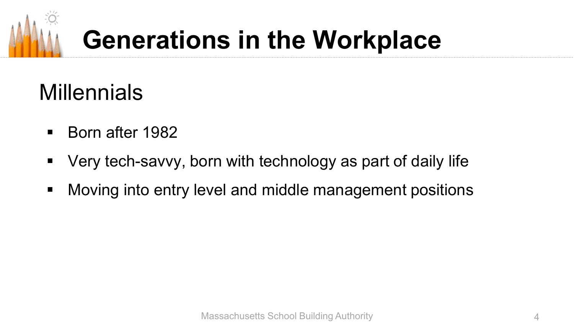

# **Generations in the Workplace**

# **Millennials**

- Born after 1982
- Very tech-savvy, born with technology as part of daily life
- **Noving into entry level and middle management positions**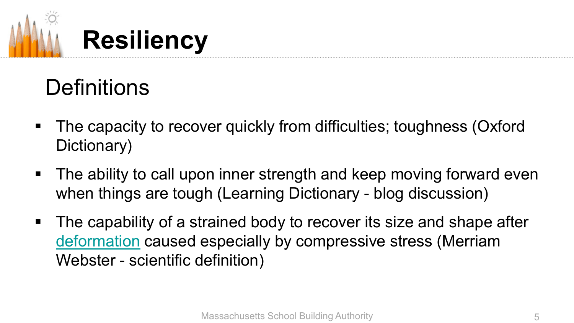

### **Definitions**

- The capacity to recover quickly from difficulties; toughness (Oxford Dictionary)
- **The ability to call upon inner strength and keep moving forward even** when things are tough (Learning Dictionary - blog discussion)
- **The capability of a st[r](https://www.merriam-webster.com/dictionary/deformation)ained body to recover its size and shape after** [deformation](https://www.merriam-webster.com/dictionary/deformation) caused especially by compressive stress (Merriam Webster - scientific definition)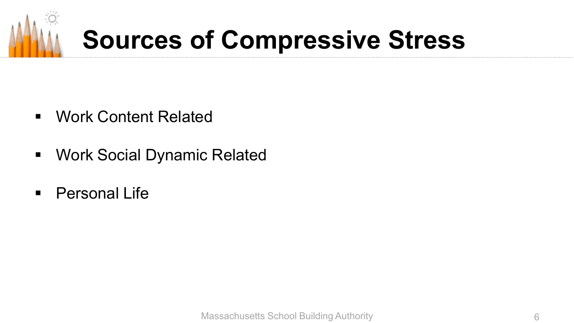

# **Sources of Compressive Stress**

- Work Content Related
- **Work Social Dynamic Related**
- **Personal Life**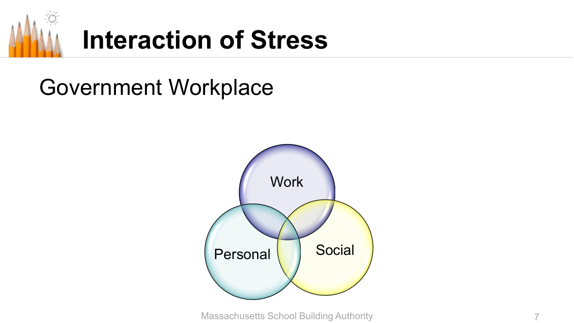

# **Interaction of Stress**

#### Government Workplace



Massachusetts School Building Authority 7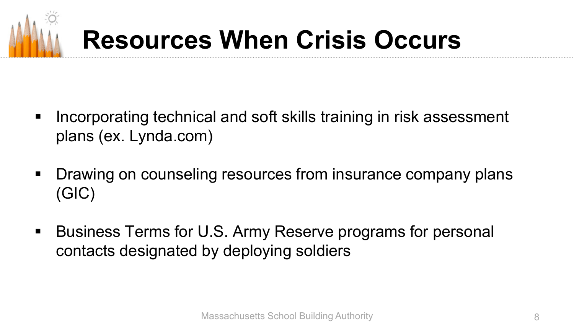# **Resources When Crisis Occurs**

- **Incorporating technical and soft skills training in risk assessment** plans (ex. Lynda.com)
- **Drawing on counseling resources from insurance company plans** (GIC)
- Business Terms for U.S. Army Reserve programs for personal contacts designated by deploying soldiers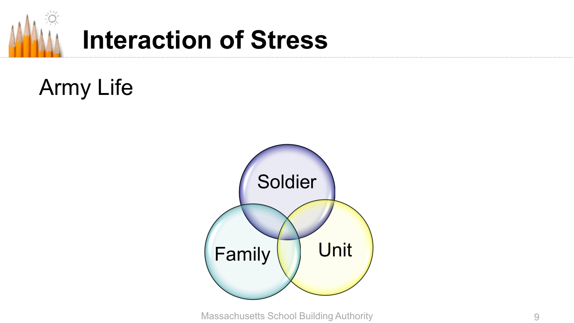

# **Interaction of Stress**

# Army Life



Massachusetts School Building Authority **9** 9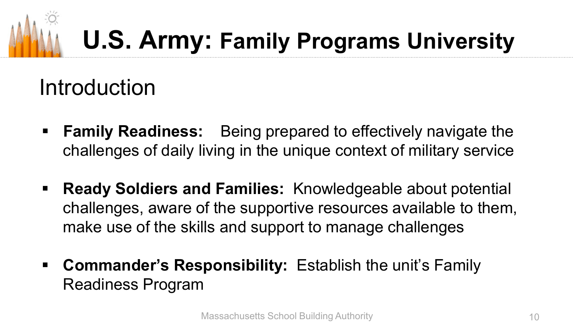#### Introduction

- **Family Readiness:** Being prepared to effectively navigate the challenges of daily living in the unique context of military service
- **Ready Soldiers and Families:** Knowledgeable about potential challenges, aware of the supportive resources available to them, make use of the skills and support to manage challenges
- **Commander's Responsibility:** Establish the unit's Family Readiness Program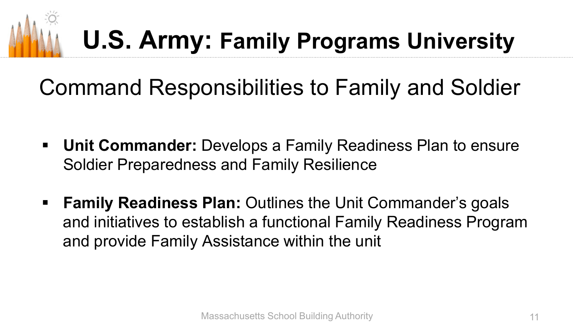#### Command Responsibilities to Family and Soldier

- **Unit Commander:** Develops a Family Readiness Plan to ensure Soldier Preparedness and Family Resilience
- **Family Readiness Plan:** Outlines the Unit Commander's goals and initiatives to establish a functional Family Readiness Program and provide Family Assistance within the unit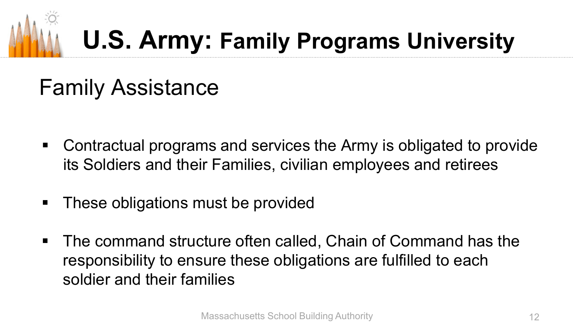## Family Assistance

- Contractual programs and services the Army is obligated to provide its Soldiers and their Families, civilian employees and retirees
- **These obligations must be provided**
- The command structure often called, Chain of Command has the responsibility to ensure these obligations are fulfilled to each soldier and their families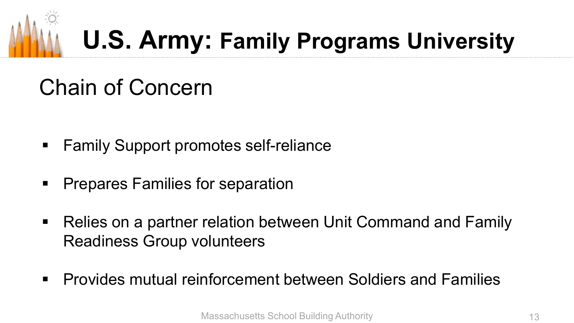

# Chain of Concern

- **Family Support promotes self-reliance**
- Prepares Families for separation
- Relies on a partner relation between Unit Command and Family Readiness Group volunteers
- Provides mutual reinforcement between Soldiers and Families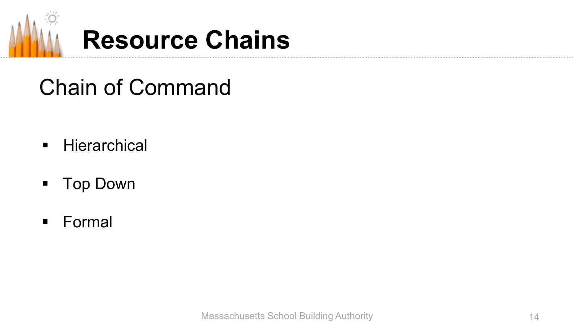

# Chain of Command

- **Hierarchical**
- **Top Down**
- **Formal**

Massachusetts School Building Authority 14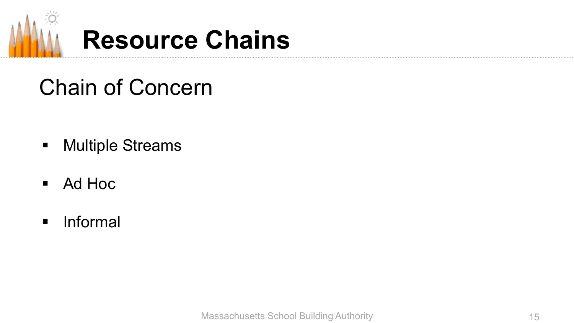

# Chain of Concern

- **-** Multiple Streams
- Ad Hoc
- **Informal**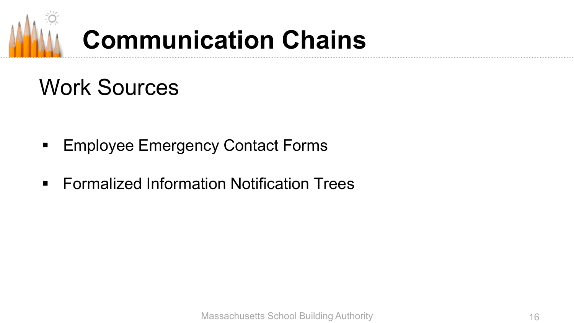

# **Communication Chains**

#### Work Sources

- **Employee Emergency Contact Forms**
- **Formalized Information Notification Trees**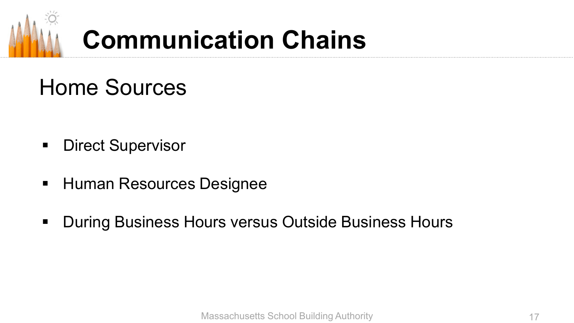

# **Communication Chains**

#### Home Sources

- **Direct Supervisor**
- **Human Resources Designee**
- **During Business Hours versus Outside Business Hours**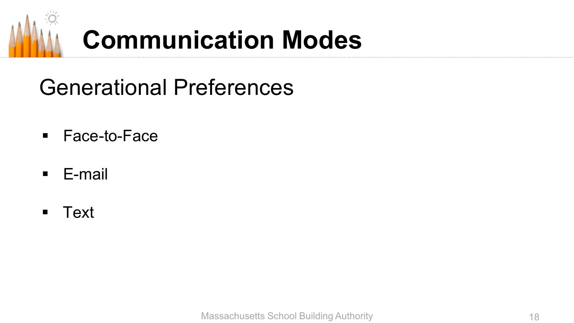

# **Communication Modes**

Generational Preferences

- Face-to-Face
- E-mail
- Text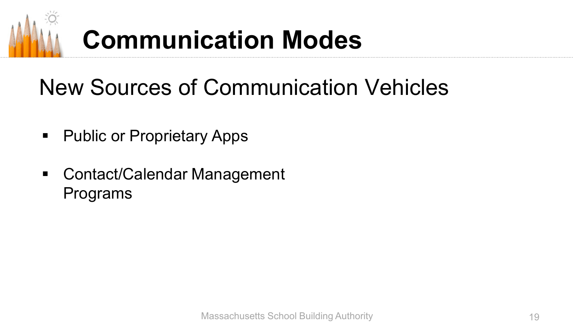# **Communication Modes**

### New Sources of Communication Vehicles

- **Public or Proprietary Apps**
- Contact/Calendar Management Programs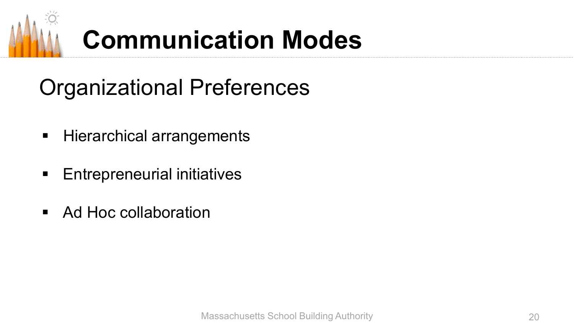

# Organizational Preferences

- **Hierarchical arrangements**
- **Entrepreneurial initiatives**
- Ad Hoc collaboration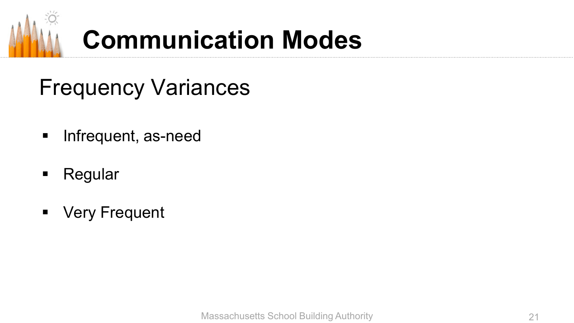

# **Communication Modes**

#### Frequency Variances

- **Infrequent, as-need**
- **Regular**
- **•** Very Frequent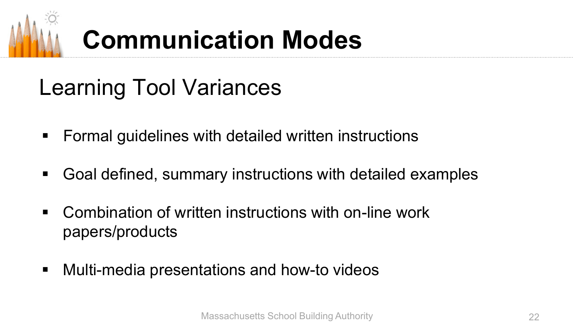# **Communication Modes**

# Learning Tool Variances

- Formal guidelines with detailed written instructions
- Goal defined, summary instructions with detailed examples
- Combination of written instructions with on-line work papers/products
- Multi-media presentations and how-to videos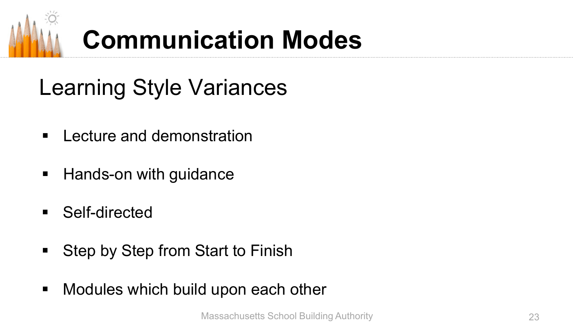

# Learning Style Variances

- **E** Lecture and demonstration
- Hands-on with guidance
- Self-directed
- **Step by Step from Start to Finish**
- **Modules which build upon each other**